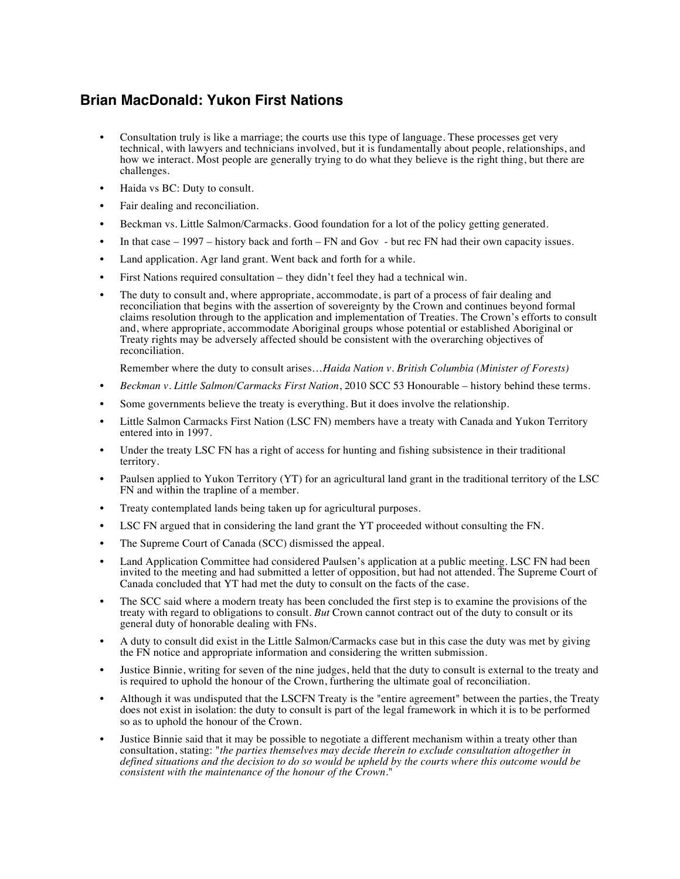## **Brian MacDonald: Yukon First Nations**

- Consultation truly is like a marriage; the courts use this type of language. These processes get very technical, with lawyers and technicians involved, but it is fundamentally about people, relationships, and how we interact. Most people are generally trying to do what they believe is the right thing, but there are challenges.
- Haida vs BC: Duty to consult.
- Fair dealing and reconciliation.
- Beckman vs. Little Salmon/Carmacks. Good foundation for a lot of the policy getting generated.
- In that case 1997 history back and forth FN and Gov but rec FN had their own capacity issues.
- Land application. Agr land grant. Went back and forth for a while.
- First Nations required consultation they didn't feel they had a technical win.
- The duty to consult and, where appropriate, accommodate, is part of a process of fair dealing and reconciliation that begins with the assertion of sovereignty by the Crown and continues beyond formal claims resolution through to the application and implementation of Treaties. The Crown's efforts to consult and, where appropriate, accommodate Aboriginal groups whose potential or established Aboriginal or Treaty rights may be adversely affected should be consistent with the overarching objectives of reconciliation.

Remember where the duty to consult arises…*Haida Nation v. British Columbia (Minister of Forests)*

- *Beckman v. Little Salmon/Carmacks First Nation*, 2010 SCC 53 Honourable history behind these terms.
- Some governments believe the treaty is everything. But it does involve the relationship.
- Little Salmon Carmacks First Nation (LSC FN) members have a treaty with Canada and Yukon Territory entered into in 1997.
- Under the treaty LSC FN has a right of access for hunting and fishing subsistence in their traditional territory.
- Paulsen applied to Yukon Territory (YT) for an agricultural land grant in the traditional territory of the LSC FN and within the trapline of a member.
- Treaty contemplated lands being taken up for agricultural purposes.
- LSC FN argued that in considering the land grant the YT proceeded without consulting the FN.
- The Supreme Court of Canada (SCC) dismissed the appeal.
- Land Application Committee had considered Paulsen's application at a public meeting. LSC FN had been invited to the meeting and had submitted a letter of opposition, but had not attended. The Supreme Court of Canada concluded that YT had met the duty to consult on the facts of the case.
- The SCC said where a modern treaty has been concluded the first step is to examine the provisions of the treaty with regard to obligations to consult. *But* Crown cannot contract out of the duty to consult or its general duty of honorable dealing with FNs.
- A duty to consult did exist in the Little Salmon/Carmacks case but in this case the duty was met by giving the FN notice and appropriate information and considering the written submission.
- Justice Binnie, writing for seven of the nine judges, held that the duty to consult is external to the treaty and is required to uphold the honour of the Crown, furthering the ultimate goal of reconciliation.
- Although it was undisputed that the LSCFN Treaty is the "entire agreement" between the parties, the Treaty does not exist in isolation: the duty to consult is part of the legal framework in which it is to be performed so as to uphold the honour of the Crown.
- Justice Binnie said that it may be possible to negotiate a different mechanism within a treaty other than consultation, stating: "*the parties themselves may decide therein to exclude consultation altogether in defined situations and the decision to do so would be upheld by the courts where this outcome would be consistent with the maintenance of the honour of the Crown.*"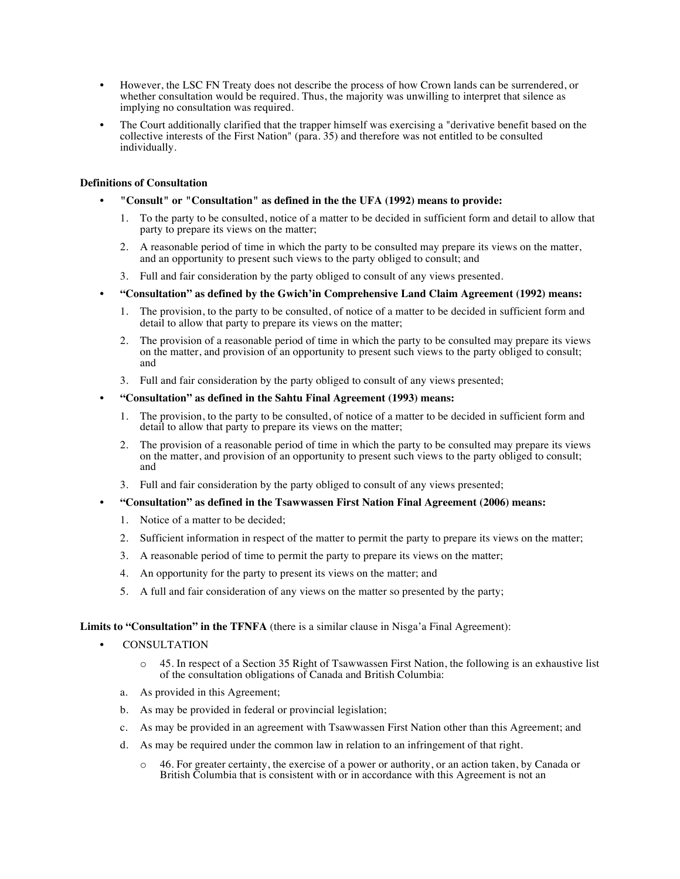- However, the LSC FN Treaty does not describe the process of how Crown lands can be surrendered, or whether consultation would be required. Thus, the majority was unwilling to interpret that silence as implying no consultation was required.
- The Court additionally clarified that the trapper himself was exercising a "derivative benefit based on the collective interests of the First Nation" (para. 35) and therefore was not entitled to be consulted individually.

## **Definitions of Consultation**

- **"Consult" or "Consultation" as defined in the the UFA (1992) means to provide:** 
	- 1. To the party to be consulted, notice of a matter to be decided in sufficient form and detail to allow that party to prepare its views on the matter;
	- 2. A reasonable period of time in which the party to be consulted may prepare its views on the matter, and an opportunity to present such views to the party obliged to consult; and
	- 3. Full and fair consideration by the party obliged to consult of any views presented.
- **"Consultation" as defined by the Gwich'in Comprehensive Land Claim Agreement (1992) means:** 
	- 1. The provision, to the party to be consulted, of notice of a matter to be decided in sufficient form and detail to allow that party to prepare its views on the matter;
	- 2. The provision of a reasonable period of time in which the party to be consulted may prepare its views on the matter, and provision of an opportunity to present such views to the party obliged to consult; and
	- 3. Full and fair consideration by the party obliged to consult of any views presented;

## • **"Consultation" as defined in the Sahtu Final Agreement (1993) means:**

- 1. The provision, to the party to be consulted, of notice of a matter to be decided in sufficient form and detail to allow that party to prepare its views on the matter;
- 2. The provision of a reasonable period of time in which the party to be consulted may prepare its views on the matter, and provision of an opportunity to present such views to the party obliged to consult; and
- 3. Full and fair consideration by the party obliged to consult of any views presented;
- **"Consultation" as defined in the Tsawwassen First Nation Final Agreement (2006) means:**
	- 1. Notice of a matter to be decided;
	- 2. Sufficient information in respect of the matter to permit the party to prepare its views on the matter;
	- 3. A reasonable period of time to permit the party to prepare its views on the matter;
	- 4. An opportunity for the party to present its views on the matter; and
	- 5. A full and fair consideration of any views on the matter so presented by the party;

## **Limits to "Consultation" in the TFNFA** (there is a similar clause in Nisga'a Final Agreement):

- **CONSULTATION** 
	- o 45. In respect of a Section 35 Right of Tsawwassen First Nation, the following is an exhaustive list of the consultation obligations of Canada and British Columbia:
	- a. As provided in this Agreement;
	- b. As may be provided in federal or provincial legislation;
	- c. As may be provided in an agreement with Tsawwassen First Nation other than this Agreement; and
	- d. As may be required under the common law in relation to an infringement of that right.
		- o 46. For greater certainty, the exercise of a power or authority, or an action taken, by Canada or British Columbia that is consistent with or in accordance with this Agreement is not an